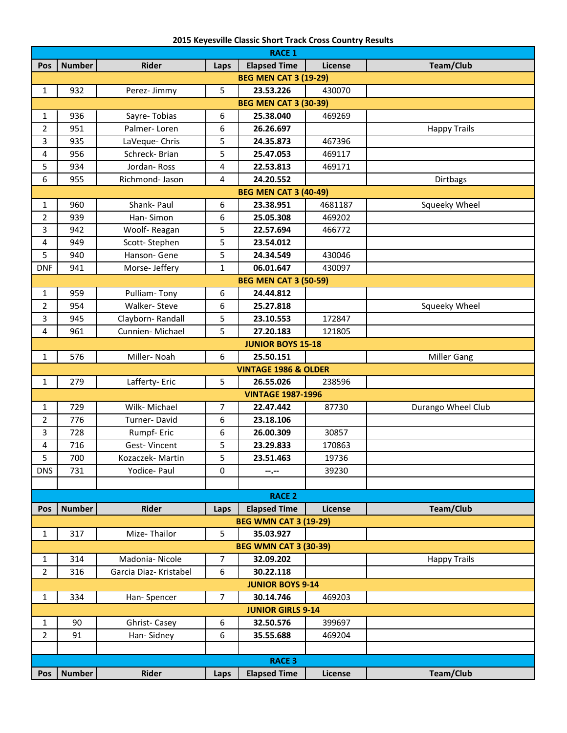| 2015 Keyesville Classic Short Track Cross Country Results |  |  |  |  |
|-----------------------------------------------------------|--|--|--|--|
|-----------------------------------------------------------|--|--|--|--|

| <b>RACE 1</b>            |                              |                        |                |                                 |         |                     |  |
|--------------------------|------------------------------|------------------------|----------------|---------------------------------|---------|---------------------|--|
| Pos                      | <b>Number</b>                | Rider                  | Laps           | <b>Elapsed Time</b>             | License | <b>Team/Club</b>    |  |
|                          | <b>BEG MEN CAT 3 (19-29)</b> |                        |                |                                 |         |                     |  |
| $\mathbf{1}$             | 932                          | Perez-Jimmy            | 5              | 23.53.226                       | 430070  |                     |  |
|                          |                              |                        |                | <b>BEG MEN CAT 3 (30-39)</b>    |         |                     |  |
| $\mathbf{1}$             | 936                          | Sayre-Tobias           | 6              | 25.38.040                       | 469269  |                     |  |
| $\overline{2}$           | 951                          | Palmer-Loren           | 6              | 26.26.697                       |         | <b>Happy Trails</b> |  |
| 3                        | 935                          | LaVeque- Chris         | 5              | 24.35.873                       | 467396  |                     |  |
| 4                        | 956                          | Schreck-Brian          | 5              | 25.47.053                       | 469117  |                     |  |
| 5                        | 934                          | Jordan-Ross            | 4              | 22.53.813                       | 469171  |                     |  |
| 6                        | 955                          | Richmond- Jason        | 4              | 24.20.552                       |         | Dirtbags            |  |
|                          |                              |                        |                | <b>BEG MEN CAT 3 (40-49)</b>    |         |                     |  |
| $\mathbf{1}$             | 960                          | Shank- Paul            | 6              | 23.38.951                       | 4681187 | Squeeky Wheel       |  |
| $\overline{2}$           | 939                          | Han-Simon              | 6              | 25.05.308                       | 469202  |                     |  |
| 3                        | 942                          | Woolf-Reagan           | 5              | 22.57.694                       | 466772  |                     |  |
| 4                        | 949                          | Scott-Stephen          | 5              | 23.54.012                       |         |                     |  |
| 5                        | 940                          | Hanson- Gene           | 5              | 24.34.549                       | 430046  |                     |  |
| <b>DNF</b>               | 941                          | Morse- Jeffery         | 1              | 06.01.647                       | 430097  |                     |  |
|                          |                              |                        |                | <b>BEG MEN CAT 3 (50-59)</b>    |         |                     |  |
| $\mathbf{1}$             | 959                          | Pulliam-Tony           | 6              | 24.44.812                       |         |                     |  |
| $\overline{2}$           | 954                          | Walker-Steve           | 6              | 25.27.818                       |         | Squeeky Wheel       |  |
| 3                        | 945                          | Clayborn-Randall       | 5              | 23.10.553                       | 172847  |                     |  |
| 4                        | 961                          | Cunnien-Michael        | 5              | 27.20.183                       | 121805  |                     |  |
|                          |                              |                        |                | <b>JUNIOR BOYS 15-18</b>        |         |                     |  |
| $\mathbf{1}$             | 576                          | Miller-Noah            | 6              | 25.50.151                       |         | <b>Miller Gang</b>  |  |
|                          |                              |                        |                | <b>VINTAGE 1986 &amp; OLDER</b> |         |                     |  |
| $\mathbf{1}$             | 279                          | Lafferty-Eric          | 5              | 26.55.026                       | 238596  |                     |  |
|                          |                              |                        |                | <b>VINTAGE 1987-1996</b>        |         |                     |  |
| $\mathbf{1}$             | 729                          | Wilk- Michael          | $\overline{7}$ | 22.47.442                       | 87730   | Durango Wheel Club  |  |
| $\overline{2}$           | 776                          | Turner-David           | 6              | 23.18.106                       |         |                     |  |
| 3                        | 728                          | Rumpf-Eric             | 6              | 26.00.309                       | 30857   |                     |  |
|                          | 716                          | Gest-Vincent           |                | 23.29.833                       | 170863  |                     |  |
| 4<br>5                   | 700                          | Kozaczek-Martin        | 5<br>5         | 23.51.463                       |         |                     |  |
|                          |                              |                        |                |                                 | 19736   |                     |  |
| <b>DNS</b>               | 731                          | Yodice- Paul           | 0              | --.--                           | 39230   |                     |  |
|                          |                              |                        |                |                                 |         |                     |  |
| <b>RACE 2</b>            |                              |                        |                |                                 |         |                     |  |
| <b>Pos</b>               | <b>Number</b>                | Rider                  | Laps           | <b>Elapsed Time</b>             | License | Team/Club           |  |
|                          |                              |                        |                | <b>BEG WMN CAT 3 (19-29)</b>    |         |                     |  |
| $\mathbf{1}$             | 317                          | Mize-Thailor           | 5              | 35.03.927                       |         |                     |  |
|                          |                              |                        |                | <b>BEG WMN CAT 3 (30-39)</b>    |         |                     |  |
| $\mathbf{1}$             | 314                          | Madonia-Nicole         | 7              | 32.09.202                       |         | <b>Happy Trails</b> |  |
| $\overline{2}$           | 316                          | Garcia Diaz- Kristabel | 6              | 30.22.118                       |         |                     |  |
| <b>JUNIOR BOYS 9-14</b>  |                              |                        |                |                                 |         |                     |  |
| $\mathbf{1}$             | 334                          | Han-Spencer            | 7              | 30.14.746                       | 469203  |                     |  |
| <b>JUNIOR GIRLS 9-14</b> |                              |                        |                |                                 |         |                     |  |
| $\mathbf{1}$             | 90                           | Ghrist-Casey           | 6              | 32.50.576                       | 399697  |                     |  |
| $\overline{2}$           | 91                           | Han-Sidney             | 6              | 35.55.688                       | 469204  |                     |  |
|                          |                              |                        |                |                                 |         |                     |  |
|                          | <b>RACE 3</b>                |                        |                |                                 |         |                     |  |
| <b>Pos</b>               | <b>Number</b>                | Rider                  | Laps           | <b>Elapsed Time</b>             | License | Team/Club           |  |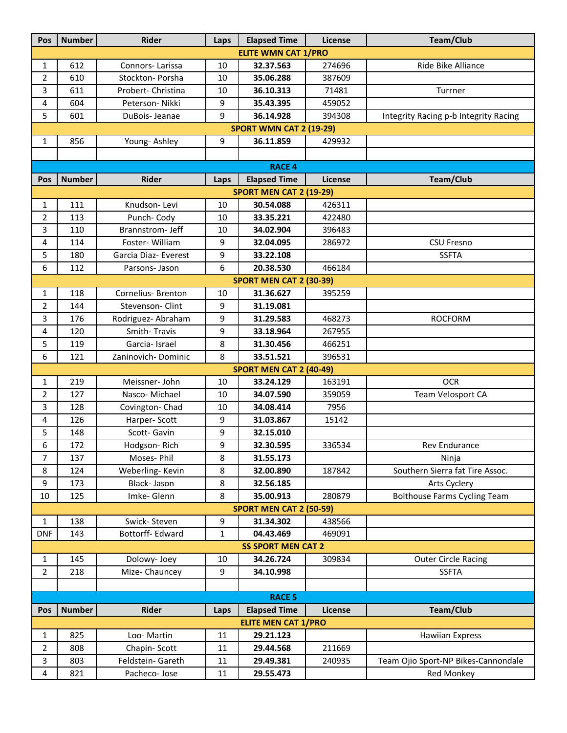| Pos                            | <b>Number</b> | Rider                | Laps | <b>Elapsed Time</b>            | License | Team/Club                             |  |  |
|--------------------------------|---------------|----------------------|------|--------------------------------|---------|---------------------------------------|--|--|
| <b>ELITE WMN CAT 1/PRO</b>     |               |                      |      |                                |         |                                       |  |  |
| $\mathbf{1}$                   | 612           | Connors-Larissa      | 10   | 32.37.563                      | 274696  | Ride Bike Alliance                    |  |  |
| $\overline{2}$                 | 610           | Stockton- Porsha     | 10   | 35.06.288                      | 387609  |                                       |  |  |
| 3                              | 611           | Probert- Christina   | 10   | 36.10.313                      | 71481   | Turrner                               |  |  |
| 4                              | 604           | Peterson- Nikki      | 9    | 35.43.395                      | 459052  |                                       |  |  |
| 5                              | 601           | DuBois-Jeanae        | 9    | 36.14.928                      | 394308  | Integrity Racing p-b Integrity Racing |  |  |
|                                |               |                      |      | <b>SPORT WMN CAT 2 (19-29)</b> |         |                                       |  |  |
| $\mathbf{1}$                   | 856           | Young- Ashley        | 9    | 36.11.859                      | 429932  |                                       |  |  |
|                                |               |                      |      |                                |         |                                       |  |  |
|                                | <b>RACE 4</b> |                      |      |                                |         |                                       |  |  |
| Pos                            | <b>Number</b> | <b>Rider</b>         | Laps | <b>Elapsed Time</b>            | License | Team/Club                             |  |  |
|                                |               |                      |      | <b>SPORT MEN CAT 2 (19-29)</b> |         |                                       |  |  |
| $\mathbf{1}$                   | 111           | Knudson-Levi         | 10   | 30.54.088                      | 426311  |                                       |  |  |
| $\overline{2}$                 | 113           | Punch-Cody           | 10   | 33.35.221                      | 422480  |                                       |  |  |
| 3                              | 110           | Brannstrom- Jeff     | 10   | 34.02.904                      | 396483  |                                       |  |  |
| 4                              | 114           | Foster-William       | 9    | 32.04.095                      | 286972  | <b>CSU Fresno</b>                     |  |  |
| 5                              | 180           | Garcia Diaz- Everest | 9    | 33.22.108                      |         | <b>SSFTA</b>                          |  |  |
| 6                              | 112           | Parsons- Jason       | 6    | 20.38.530                      | 466184  |                                       |  |  |
|                                |               |                      |      | <b>SPORT MEN CAT 2 (30-39)</b> |         |                                       |  |  |
| $\mathbf{1}$                   | 118           | Cornelius- Brenton   | 10   | 31.36.627                      | 395259  |                                       |  |  |
| $\overline{2}$                 | 144           | Stevenson-Clint      | 9    | 31.19.081                      |         |                                       |  |  |
| 3                              | 176           | Rodriguez- Abraham   | 9    | 31.29.583                      | 468273  | <b>ROCFORM</b>                        |  |  |
| 4                              | 120           | Smith-Travis         | 9    | 33.18.964                      | 267955  |                                       |  |  |
| 5                              | 119           | Garcia-Israel        | 8    | 31.30.456                      | 466251  |                                       |  |  |
| 6                              | 121           | Zaninovich-Dominic   | 8    | 33.51.521                      | 396531  |                                       |  |  |
|                                |               |                      |      | <b>SPORT MEN CAT 2 (40-49)</b> |         |                                       |  |  |
| $\mathbf{1}$                   | 219           | Meissner- John       | 10   | 33.24.129                      | 163191  | <b>OCR</b>                            |  |  |
| $\overline{2}$                 | 127           | Nasco-Michael        | 10   | 34.07.590                      | 359059  | Team Velosport CA                     |  |  |
| 3                              | 128           | Covington-Chad       | 10   | 34.08.414                      | 7956    |                                       |  |  |
| 4                              | 126           | Harper-Scott         | 9    | 31.03.867                      | 15142   |                                       |  |  |
| 5                              | 148           | Scott-Gavin          | 9    | 32.15.010                      |         |                                       |  |  |
| 6                              | 172           | Hodgson-Rich         | q    | 32.30.595                      | 336534  | Rev Endurance                         |  |  |
| $\overline{7}$                 | 137           | Moses-Phil           | 8    | 31.55.173                      |         | Ninja                                 |  |  |
| 8                              | 124           | Weberling-Kevin      | 8    | 32.00.890                      | 187842  | Southern Sierra fat Tire Assoc.       |  |  |
| 9                              | 173           | Black- Jason         | 8    | 32.56.185                      |         | Arts Cyclery                          |  |  |
| $10\,$                         | 125           | Imke-Glenn           | 8    | 35.00.913                      | 280879  | <b>Bolthouse Farms Cycling Team</b>   |  |  |
| <b>SPORT MEN CAT 2 (50-59)</b> |               |                      |      |                                |         |                                       |  |  |
| $\mathbf{1}$                   | 138           | Swick-Steven         | 9    | 31.34.302                      | 438566  |                                       |  |  |
| <b>DNF</b>                     | 143           | Bottorff- Edward     | 1    | 04.43.469                      | 469091  |                                       |  |  |
|                                |               |                      |      | <b>SS SPORT MEN CAT 2</b>      |         |                                       |  |  |
| $\mathbf{1}$                   | 145           | Dolowy-Joey          | 10   | 34.26.724                      | 309834  | <b>Outer Circle Racing</b>            |  |  |
| $\overline{2}$                 | 218           | Mize-Chauncey        | 9    | 34.10.998                      |         | <b>SSFTA</b>                          |  |  |
|                                |               |                      |      |                                |         |                                       |  |  |
| <b>RACE 5</b>                  |               |                      |      |                                |         |                                       |  |  |
| <b>Pos</b>                     | <b>Number</b> | <b>Rider</b>         | Laps | <b>Elapsed Time</b>            | License | Team/Club                             |  |  |
|                                |               |                      |      | <b>ELITE MEN CAT 1/PRO</b>     |         |                                       |  |  |
| $\mathbf{1}$                   | 825           | Loo-Martin           | 11   | 29.21.123                      |         | <b>Hawiian Express</b>                |  |  |
| $\overline{2}$                 | 808           | Chapin-Scott         | 11   | 29.44.568                      | 211669  |                                       |  |  |
| $\overline{3}$                 | 803           | Feldstein- Gareth    | 11   | 29.49.381                      | 240935  | Team Ojio Sport-NP Bikes-Cannondale   |  |  |
| 4                              | 821           | Pacheco- Jose        | 11   | 29.55.473                      |         | Red Monkey                            |  |  |